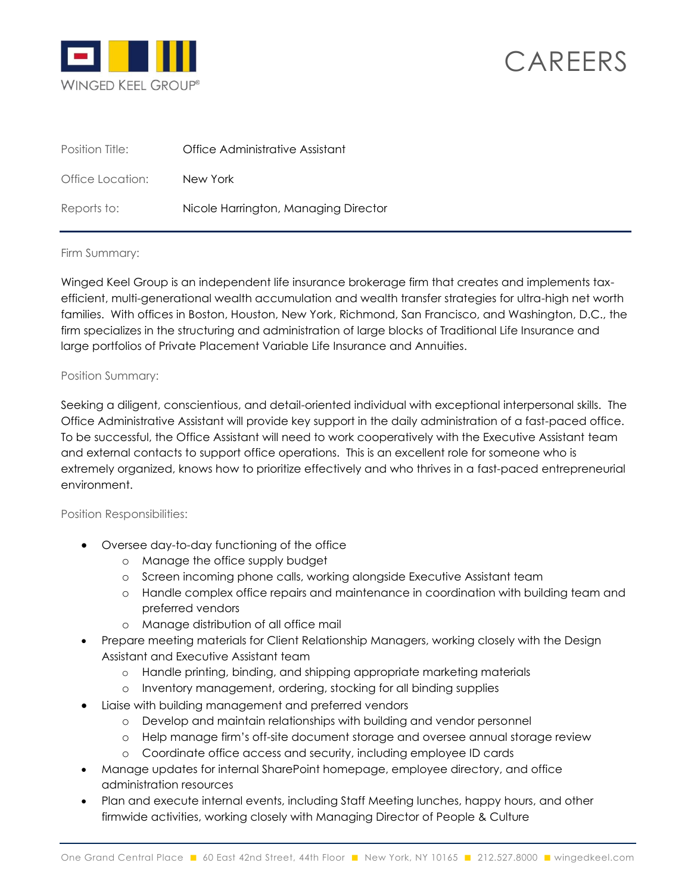



| Position Title:  | Office Administrative Assistant      |
|------------------|--------------------------------------|
| Office Location: | New York                             |
| Reports to:      | Nicole Harrington, Managing Director |

## Firm Summary:

Winged Keel Group is an independent life insurance brokerage firm that creates and implements taxefficient, multi-generational wealth accumulation and wealth transfer strategies for ultra-high net worth families. With offices in Boston, Houston, New York, Richmond, San Francisco, and Washington, D.C., the firm specializes in the structuring and administration of large blocks of Traditional Life Insurance and large portfolios of Private Placement Variable Life Insurance and Annuities.

## Position Summary:

Seeking a diligent, conscientious, and detail-oriented individual with exceptional interpersonal skills. The Office Administrative Assistant will provide key support in the daily administration of a fast-paced office. To be successful, the Office Assistant will need to work cooperatively with the Executive Assistant team and external contacts to support office operations. This is an excellent role for someone who is extremely organized, knows how to prioritize effectively and who thrives in a fast-paced entrepreneurial environment.

## Position Responsibilities:

- Oversee day-to-day functioning of the office
	- o Manage the office supply budget
	- o Screen incoming phone calls, working alongside Executive Assistant team
	- o Handle complex office repairs and maintenance in coordination with building team and preferred vendors
	- o Manage distribution of all office mail
- Prepare meeting materials for Client Relationship Managers, working closely with the Design Assistant and Executive Assistant team
	- o Handle printing, binding, and shipping appropriate marketing materials
	- o Inventory management, ordering, stocking for all binding supplies
- Liaise with building management and preferred vendors
	- o Develop and maintain relationships with building and vendor personnel
	- o Help manage firm's off-site document storage and oversee annual storage review
	- o Coordinate office access and security, including employee ID cards
- Manage updates for internal SharePoint homepage, employee directory, and office administration resources
- Plan and execute internal events, including Staff Meeting lunches, happy hours, and other firmwide activities, working closely with Managing Director of People & Culture